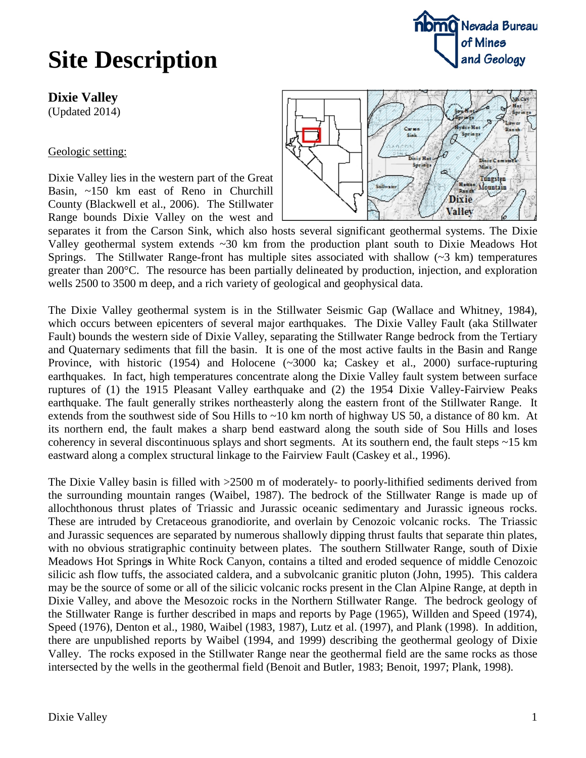### **Dixie Valley**

(Updated 2014)

### Geologic setting:

Dixie Valley lies in the western part of the Great Basin, ~150 km east of Reno in Churchill County (Blackwell et al., 2006). The Stillwater Range bounds Dixie Valley on the west and



separates it from the Carson Sink, which also hosts several significant geothermal systems. The Dixie Valley geothermal system extends ~30 km from the production plant south to Dixie Meadows Hot Springs. The Stillwater Range-front has multiple sites associated with shallow  $(\sim 3 \text{ km})$  temperatures greater than 200°C. The resource has been partially delineated by production, injection, and exploration wells 2500 to 3500 m deep, and a rich variety of geological and geophysical data.

The Dixie Valley geothermal system is in the Stillwater Seismic Gap (Wallace and Whitney, 1984), which occurs between epicenters of several major earthquakes. The Dixie Valley Fault (aka Stillwater Fault) bounds the western side of Dixie Valley, separating the Stillwater Range bedrock from the Tertiary and Quaternary sediments that fill the basin. It is one of the most active faults in the Basin and Range Province, with historic (1954) and Holocene (~3000 ka; Caskey et al., 2000) surface-rupturing earthquakes. In fact, high temperatures concentrate along the Dixie Valley fault system between surface ruptures of (1) the 1915 Pleasant Valley earthquake and (2) the 1954 Dixie Valley-Fairview Peaks earthquake. The fault generally strikes northeasterly along the eastern front of the Stillwater Range. It extends from the southwest side of Sou Hills to  $\sim$ 10 km north of highway US 50, a distance of 80 km. At its northern end, the fault makes a sharp bend eastward along the south side of Sou Hills and loses coherency in several discontinuous splays and short segments. At its southern end, the fault steps  $\sim$ 15 km eastward along a complex structural linkage to the Fairview Fault (Caskey et al., 1996).

The Dixie Valley basin is filled with >2500 m of moderately- to poorly-lithified sediments derived from the surrounding mountain ranges (Waibel, 1987). The bedrock of the Stillwater Range is made up of allochthonous thrust plates of Triassic and Jurassic oceanic sedimentary and Jurassic igneous rocks. These are intruded by Cretaceous granodiorite, and overlain by Cenozoic volcanic rocks. The Triassic and Jurassic sequences are separated by numerous shallowly dipping thrust faults that separate thin plates, with no obvious stratigraphic continuity between plates. The southern Stillwater Range, south of Dixie Meadows Hot Spring**s** in White Rock Canyon, contains a tilted and eroded sequence of middle Cenozoic silicic ash flow tuffs, the associated caldera, and a subvolcanic granitic pluton (John, 1995). This caldera may be the source of some or all of the silicic volcanic rocks present in the Clan Alpine Range, at depth in Dixie Valley, and above the Mesozoic rocks in the Northern Stillwater Range. The bedrock geology of the Stillwater Range is further described in maps and reports by Page (1965), Willden and Speed (1974), Speed (1976), Denton et al., 1980, Waibel (1983, 1987), Lutz et al. (1997), and Plank (1998). In addition, there are unpublished reports by Waibel (1994, and 1999) describing the geothermal geology of Dixie Valley. The rocks exposed in the Stillwater Range near the geothermal field are the same rocks as those intersected by the wells in the geothermal field (Benoit and Butler, 1983; Benoit, 1997; Plank, 1998).



**nomo** Nevada Bureau

of Mines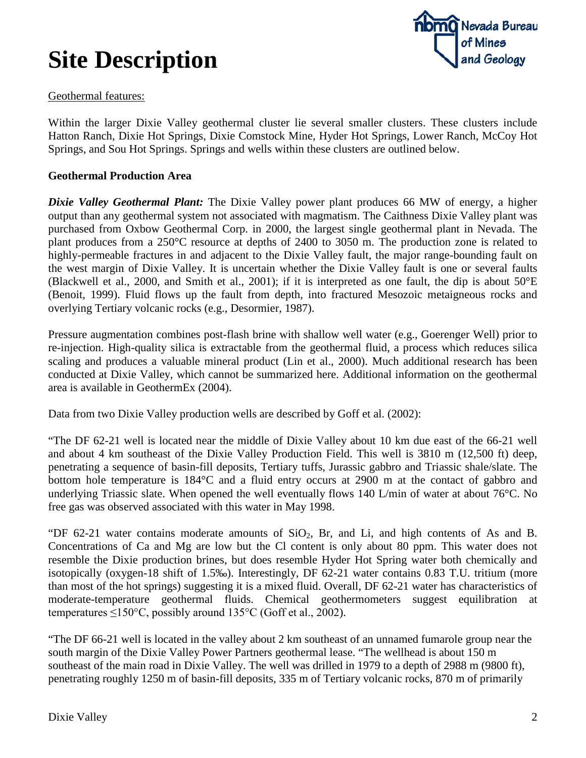

#### Geothermal features:

Within the larger Dixie Valley geothermal cluster lie several smaller clusters. These clusters include Hatton Ranch, Dixie Hot Springs, Dixie Comstock Mine, Hyder Hot Springs, Lower Ranch, McCoy Hot Springs, and Sou Hot Springs. Springs and wells within these clusters are outlined below.

#### **Geothermal Production Area**

*Dixie Valley Geothermal Plant:* The Dixie Valley power plant produces 66 MW of energy, a higher output than any geothermal system not associated with magmatism. The Caithness Dixie Valley plant was purchased from Oxbow Geothermal Corp. in 2000, the largest single geothermal plant in Nevada. The plant produces from a 250°C resource at depths of 2400 to 3050 m. The production zone is related to highly-permeable fractures in and adjacent to the Dixie Valley fault, the major range-bounding fault on the west margin of Dixie Valley. It is uncertain whether the Dixie Valley fault is one or several faults (Blackwell et al., 2000, and Smith et al., 2001); if it is interpreted as one fault, the dip is about 50°E (Benoit, 1999). Fluid flows up the fault from depth, into fractured Mesozoic metaigneous rocks and overlying Tertiary volcanic rocks (e.g., Desormier, 1987).

Pressure augmentation combines post-flash brine with shallow well water (e.g., Goerenger Well) prior to re-injection. High-quality silica is extractable from the geothermal fluid, a process which reduces silica scaling and produces a valuable mineral product (Lin et al., 2000). Much additional research has been conducted at Dixie Valley, which cannot be summarized here. Additional information on the geothermal area is available in GeothermEx (2004).

Data from two Dixie Valley production wells are described by Goff et al. (2002):

"The DF 62-21 well is located near the middle of Dixie Valley about 10 km due east of the 66-21 well and about 4 km southeast of the Dixie Valley Production Field. This well is 3810 m (12,500 ft) deep, penetrating a sequence of basin-fill deposits, Tertiary tuffs, Jurassic gabbro and Triassic shale/slate. The bottom hole temperature is 184°C and a fluid entry occurs at 2900 m at the contact of gabbro and underlying Triassic slate. When opened the well eventually flows 140 L/min of water at about 76°C. No free gas was observed associated with this water in May 1998.

"DF 62-21 water contains moderate amounts of  $SiO<sub>2</sub>$ , Br, and Li, and high contents of As and B. Concentrations of Ca and Mg are low but the Cl content is only about 80 ppm. This water does not resemble the Dixie production brines, but does resemble Hyder Hot Spring water both chemically and isotopically (oxygen-18 shift of 1.5‰). Interestingly, DF 62-21 water contains 0.83 T.U. tritium (more than most of the hot springs) suggesting it is a mixed fluid. Overall, DF 62-21 water has characteristics of moderate-temperature geothermal fluids. Chemical geothermometers suggest equilibration at temperatures  $\leq 150^{\circ}$ C, possibly around 135°C (Goff et al., 2002).

"The DF 66-21 well is located in the valley about 2 km southeast of an unnamed fumarole group near the south margin of the Dixie Valley Power Partners geothermal lease. "The wellhead is about 150 m southeast of the main road in Dixie Valley. The well was drilled in 1979 to a depth of 2988 m (9800 ft), penetrating roughly 1250 m of basin-fill deposits, 335 m of Tertiary volcanic rocks, 870 m of primarily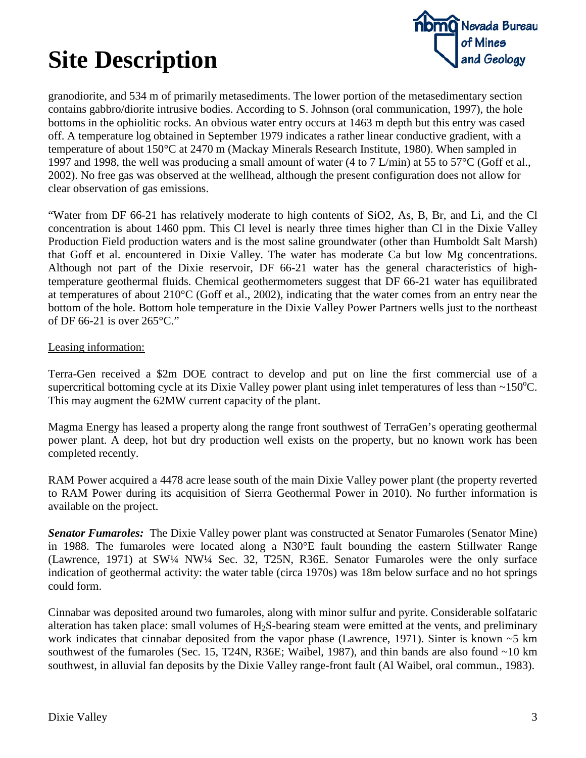

granodiorite, and 534 m of primarily metasediments. The lower portion of the metasedimentary section contains gabbro/diorite intrusive bodies. According to S. Johnson (oral communication, 1997), the hole bottoms in the ophiolitic rocks. An obvious water entry occurs at 1463 m depth but this entry was cased off. A temperature log obtained in September 1979 indicates a rather linear conductive gradient, with a temperature of about 150°C at 2470 m (Mackay Minerals Research Institute, 1980). When sampled in 1997 and 1998, the well was producing a small amount of water (4 to 7 L/min) at 55 to 57°C (Goff et al., 2002). No free gas was observed at the wellhead, although the present configuration does not allow for clear observation of gas emissions.

"Water from DF 66-21 has relatively moderate to high contents of SiO2, As, B, Br, and Li, and the Cl concentration is about 1460 ppm. This Cl level is nearly three times higher than Cl in the Dixie Valley Production Field production waters and is the most saline groundwater (other than Humboldt Salt Marsh) that Goff et al. encountered in Dixie Valley. The water has moderate Ca but low Mg concentrations. Although not part of the Dixie reservoir, DF 66-21 water has the general characteristics of hightemperature geothermal fluids. Chemical geothermometers suggest that DF 66-21 water has equilibrated at temperatures of about 210°C (Goff et al., 2002), indicating that the water comes from an entry near the bottom of the hole. Bottom hole temperature in the Dixie Valley Power Partners wells just to the northeast of DF 66-21 is over 265°C."

#### Leasing information:

Terra-Gen received a \$2m DOE contract to develop and put on line the first commercial use of a supercritical bottoming cycle at its Dixie Valley power plant using inlet temperatures of less than  $\sim$ 150 $\degree$ C. This may augment the 62MW current capacity of the plant.

Magma Energy has leased a property along the range front southwest of TerraGen's operating geothermal power plant. A deep, hot but dry production well exists on the property, but no known work has been completed recently.

RAM Power acquired a 4478 acre lease south of the main Dixie Valley power plant (the property reverted to RAM Power during its acquisition of Sierra Geothermal Power in 2010). No further information is available on the project.

*Senator Fumaroles:* The Dixie Valley power plant was constructed at Senator Fumaroles (Senator Mine) in 1988. The fumaroles were located along a N30°E fault bounding the eastern Stillwater Range (Lawrence, 1971) at SW¼ NW¼ Sec. 32, T25N, R36E. Senator Fumaroles were the only surface indication of geothermal activity: the water table (circa 1970s) was 18m below surface and no hot springs could form.

Cinnabar was deposited around two fumaroles, along with minor sulfur and pyrite. Considerable solfataric alteration has taken place: small volumes of  $H_2S$ -bearing steam were emitted at the vents, and preliminary work indicates that cinnabar deposited from the vapor phase (Lawrence, 1971). Sinter is known ~5 km southwest of the fumaroles (Sec. 15, T24N, R36E; Waibel, 1987), and thin bands are also found ~10 km southwest, in alluvial fan deposits by the Dixie Valley range-front fault (Al Waibel, oral commun., 1983).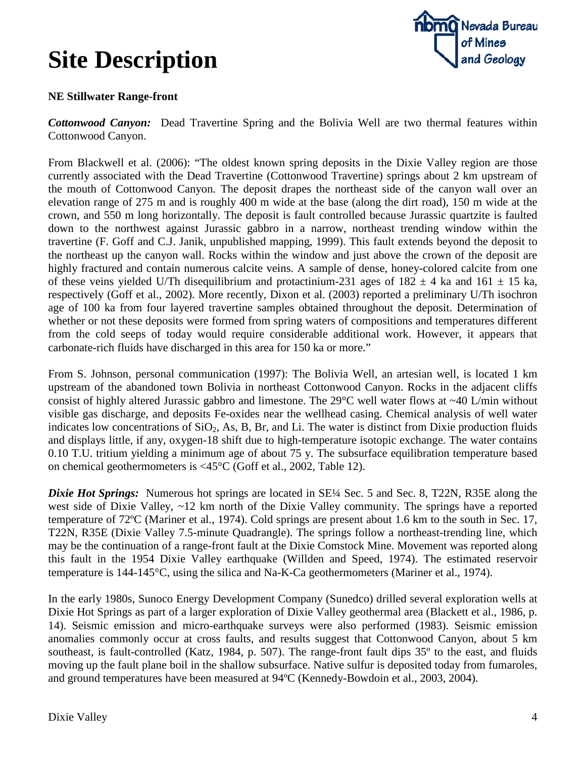

### **NE Stillwater Range-front**

*Cottonwood Canyon:* Dead Travertine Spring and the Bolivia Well are two thermal features within Cottonwood Canyon.

From Blackwell et al. (2006): "The oldest known spring deposits in the Dixie Valley region are those currently associated with the Dead Travertine (Cottonwood Travertine) springs about 2 km upstream of the mouth of Cottonwood Canyon. The deposit drapes the northeast side of the canyon wall over an elevation range of 275 m and is roughly 400 m wide at the base (along the dirt road), 150 m wide at the crown, and 550 m long horizontally. The deposit is fault controlled because Jurassic quartzite is faulted down to the northwest against Jurassic gabbro in a narrow, northeast trending window within the travertine (F. Goff and C.J. Janik, unpublished mapping, 1999). This fault extends beyond the deposit to the northeast up the canyon wall. Rocks within the window and just above the crown of the deposit are highly fractured and contain numerous calcite veins. A sample of dense, honey-colored calcite from one of these veins yielded U/Th disequilibrium and protactinium-231 ages of  $182 \pm 4$  ka and  $161 \pm 15$  ka, respectively (Goff et al., 2002). More recently, Dixon et al. (2003) reported a preliminary U/Th isochron age of 100 ka from four layered travertine samples obtained throughout the deposit. Determination of whether or not these deposits were formed from spring waters of compositions and temperatures different from the cold seeps of today would require considerable additional work. However, it appears that carbonate-rich fluids have discharged in this area for 150 ka or more."

From S. Johnson, personal communication (1997): The Bolivia Well, an artesian well, is located 1 km upstream of the abandoned town Bolivia in northeast Cottonwood Canyon. Rocks in the adjacent cliffs consist of highly altered Jurassic gabbro and limestone. The 29 $^{\circ}$ C well water flows at ~40 L/min without visible gas discharge, and deposits Fe-oxides near the wellhead casing. Chemical analysis of well water indicates low concentrations of  $SiO<sub>2</sub>$ , As, B, Br, and Li. The water is distinct from Dixie production fluids and displays little, if any, oxygen-18 shift due to high-temperature isotopic exchange. The water contains 0.10 T.U. tritium yielding a minimum age of about 75 y. The subsurface equilibration temperature based on chemical geothermometers is <45°C (Goff et al., 2002, Table 12).

*Dixie Hot Springs:* Numerous hot springs are located in SE¼ Sec. 5 and Sec. 8, T22N, R35E along the west side of Dixie Valley, ~12 km north of the Dixie Valley community. The springs have a reported temperature of 72ºC (Mariner et al., 1974). Cold springs are present about 1.6 km to the south in Sec. 17, T22N, R35E (Dixie Valley 7.5-minute Quadrangle). The springs follow a northeast-trending line, which may be the continuation of a range-front fault at the Dixie Comstock Mine. Movement was reported along this fault in the 1954 Dixie Valley earthquake (Willden and Speed, 1974). The estimated reservoir temperature is 144-145°C, using the silica and Na-K-Ca geothermometers (Mariner et al., 1974).

In the early 1980s, Sunoco Energy Development Company (Sunedco) drilled several exploration wells at Dixie Hot Springs as part of a larger exploration of Dixie Valley geothermal area (Blackett et al., 1986, p. 14). Seismic emission and micro-earthquake surveys were also performed (1983). Seismic emission anomalies commonly occur at cross faults, and results suggest that Cottonwood Canyon, about 5 km southeast, is fault-controlled (Katz, 1984, p. 507). The range-front fault dips 35º to the east, and fluids moving up the fault plane boil in the shallow subsurface. Native sulfur is deposited today from fumaroles, and ground temperatures have been measured at 94ºC (Kennedy-Bowdoin et al., 2003, 2004).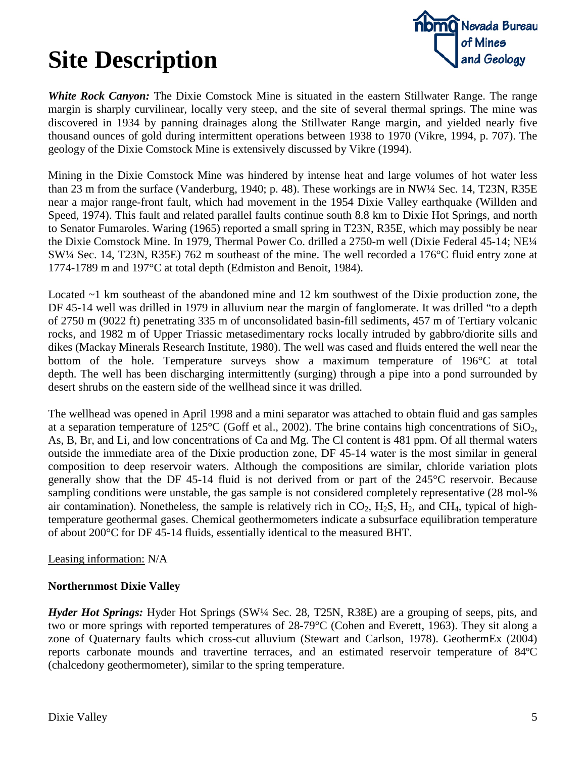

*White Rock Canyon:* The Dixie Comstock Mine is situated in the eastern Stillwater Range. The range margin is sharply curvilinear, locally very steep, and the site of several thermal springs. The mine was discovered in 1934 by panning drainages along the Stillwater Range margin, and yielded nearly five thousand ounces of gold during intermittent operations between 1938 to 1970 (Vikre, 1994, p. 707). The geology of the Dixie Comstock Mine is extensively discussed by Vikre (1994).

Mining in the Dixie Comstock Mine was hindered by intense heat and large volumes of hot water less than 23 m from the surface (Vanderburg, 1940; p. 48). These workings are in NW¼ Sec. 14, T23N, R35E near a major range-front fault, which had movement in the 1954 Dixie Valley earthquake (Willden and Speed, 1974). This fault and related parallel faults continue south 8.8 km to Dixie Hot Springs, and north to Senator Fumaroles. Waring (1965) reported a small spring in T23N, R35E, which may possibly be near the Dixie Comstock Mine. In 1979, Thermal Power Co. drilled a 2750-m well (Dixie Federal 45-14; NE¼ SW¼ Sec. 14, T23N, R35E) 762 m southeast of the mine. The well recorded a 176°C fluid entry zone at 1774-1789 m and 197°C at total depth (Edmiston and Benoit, 1984).

Located ~1 km southeast of the abandoned mine and 12 km southwest of the Dixie production zone, the DF 45-14 well was drilled in 1979 in alluvium near the margin of fanglomerate. It was drilled "to a depth of 2750 m (9022 ft) penetrating 335 m of unconsolidated basin-fill sediments, 457 m of Tertiary volcanic rocks, and 1982 m of Upper Triassic metasedimentary rocks locally intruded by gabbro/diorite sills and dikes (Mackay Minerals Research Institute, 1980). The well was cased and fluids entered the well near the bottom of the hole. Temperature surveys show a maximum temperature of 196°C at total depth. The well has been discharging intermittently (surging) through a pipe into a pond surrounded by desert shrubs on the eastern side of the wellhead since it was drilled.

The wellhead was opened in April 1998 and a mini separator was attached to obtain fluid and gas samples at a separation temperature of 125 $\rm{^{\circ}C}$  (Goff et al., 2002). The brine contains high concentrations of SiO<sub>2</sub>, As, B, Br, and Li, and low concentrations of Ca and Mg. The Cl content is 481 ppm. Of all thermal waters outside the immediate area of the Dixie production zone, DF 45-14 water is the most similar in general composition to deep reservoir waters. Although the compositions are similar, chloride variation plots generally show that the DF 45-14 fluid is not derived from or part of the 245°C reservoir. Because sampling conditions were unstable, the gas sample is not considered completely representative (28 mol-% air contamination). Nonetheless, the sample is relatively rich in  $CO_2$ ,  $H_2S$ ,  $H_2$ , and  $CH_4$ , typical of hightemperature geothermal gases. Chemical geothermometers indicate a subsurface equilibration temperature of about 200°C for DF 45-14 fluids, essentially identical to the measured BHT.

#### Leasing information: N/A

### **Northernmost Dixie Valley**

*Hyder Hot Springs:* Hyder Hot Springs (SW¼ Sec. 28, T25N, R38E) are a grouping of seeps, pits, and two or more springs with reported temperatures of 28-79°C (Cohen and Everett, 1963). They sit along a zone of Quaternary faults which cross-cut alluvium (Stewart and Carlson, 1978). GeothermEx (2004) reports carbonate mounds and travertine terraces, and an estimated reservoir temperature of 84ºC (chalcedony geothermometer), similar to the spring temperature.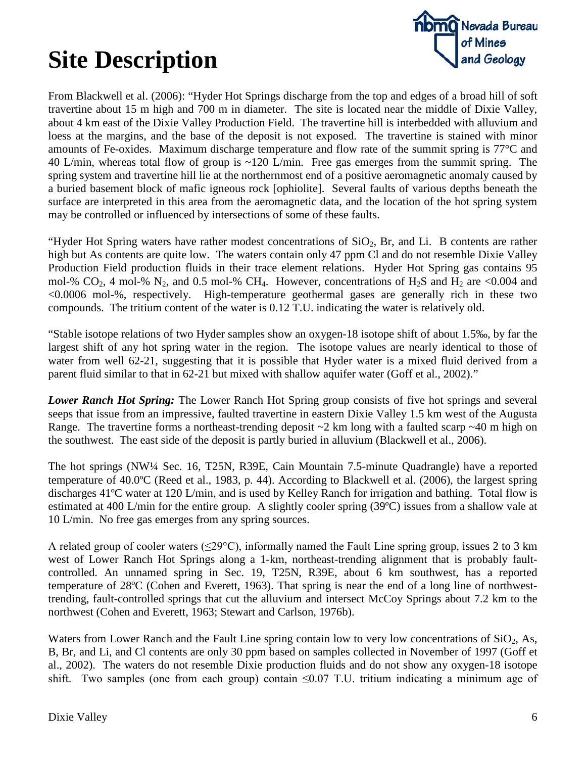

From Blackwell et al. (2006): "Hyder Hot Springs discharge from the top and edges of a broad hill of soft travertine about 15 m high and 700 m in diameter. The site is located near the middle of Dixie Valley, about 4 km east of the Dixie Valley Production Field. The travertine hill is interbedded with alluvium and loess at the margins, and the base of the deposit is not exposed. The travertine is stained with minor amounts of Fe-oxides. Maximum discharge temperature and flow rate of the summit spring is 77°C and 40 L/min, whereas total flow of group is ~120 L/min. Free gas emerges from the summit spring. The spring system and travertine hill lie at the northernmost end of a positive aeromagnetic anomaly caused by a buried basement block of mafic igneous rock [ophiolite]. Several faults of various depths beneath the surface are interpreted in this area from the aeromagnetic data, and the location of the hot spring system may be controlled or influenced by intersections of some of these faults.

"Hyder Hot Spring waters have rather modest concentrations of  $SiO<sub>2</sub>$ , Br, and Li. B contents are rather high but As contents are quite low. The waters contain only 47 ppm Cl and do not resemble Dixie Valley Production Field production fluids in their trace element relations. Hyder Hot Spring gas contains 95 mol-% CO<sub>2</sub>, 4 mol-% N<sub>2</sub>, and 0.5 mol-% CH<sub>4</sub>. However, concentrations of H<sub>2</sub>S and H<sub>2</sub> are <0.004 and <0.0006 mol-%, respectively. High-temperature geothermal gases are generally rich in these two compounds. The tritium content of the water is 0.12 T.U. indicating the water is relatively old.

"Stable isotope relations of two Hyder samples show an oxygen-18 isotope shift of about 1.5‰, by far the largest shift of any hot spring water in the region. The isotope values are nearly identical to those of water from well 62-21, suggesting that it is possible that Hyder water is a mixed fluid derived from a parent fluid similar to that in 62-21 but mixed with shallow aquifer water (Goff et al., 2002)."

*Lower Ranch Hot Spring:* The Lower Ranch Hot Spring group consists of five hot springs and several seeps that issue from an impressive, faulted travertine in eastern Dixie Valley 1.5 km west of the Augusta Range. The travertine forms a northeast-trending deposit  $\sim$ 2 km long with a faulted scarp  $\sim$ 40 m high on the southwest. The east side of the deposit is partly buried in alluvium (Blackwell et al., 2006).

The hot springs (NW¼ Sec. 16, T25N, R39E, Cain Mountain 7.5-minute Quadrangle) have a reported temperature of 40.0ºC (Reed et al., 1983, p. 44). According to Blackwell et al. (2006), the largest spring discharges 41ºC water at 120 L/min, and is used by Kelley Ranch for irrigation and bathing. Total flow is estimated at 400 L/min for the entire group. A slightly cooler spring (39ºC) issues from a shallow vale at 10 L/min. No free gas emerges from any spring sources.

A related group of cooler waters ( $\leq$ 29°C), informally named the Fault Line spring group, issues 2 to 3 km west of Lower Ranch Hot Springs along a 1-km, northeast-trending alignment that is probably faultcontrolled. An unnamed spring in Sec. 19, T25N, R39E, about 6 km southwest, has a reported temperature of 28ºC (Cohen and Everett, 1963). That spring is near the end of a long line of northwesttrending, fault-controlled springs that cut the alluvium and intersect McCoy Springs about 7.2 km to the northwest (Cohen and Everett, 1963; Stewart and Carlson, 1976b).

Waters from Lower Ranch and the Fault Line spring contain low to very low concentrations of  $SiO<sub>2</sub>$ , As, B, Br, and Li, and Cl contents are only 30 ppm based on samples collected in November of 1997 (Goff et al., 2002). The waters do not resemble Dixie production fluids and do not show any oxygen-18 isotope shift. Two samples (one from each group) contain ≤0.07 T.U. tritium indicating a minimum age of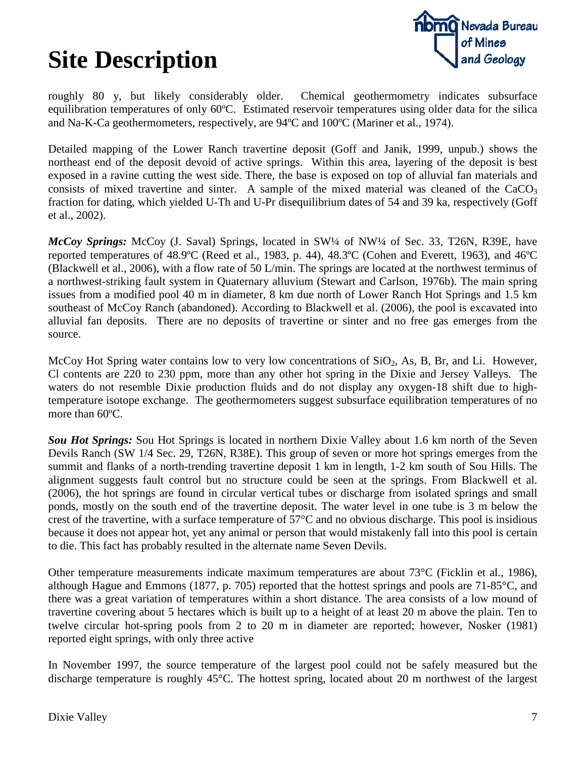

roughly 80 y, but likely considerably older. Chemical geothermometry indicates subsurface equilibration temperatures of only 60ºC. Estimated reservoir temperatures using older data for the silica and Na-K-Ca geothermometers, respectively, are 94ºC and 100ºC (Mariner et al., 1974).

Detailed mapping of the Lower Ranch travertine deposit (Goff and Janik, 1999, unpub.) shows the northeast end of the deposit devoid of active springs. Within this area, layering of the deposit is best exposed in a ravine cutting the west side. There, the base is exposed on top of alluvial fan materials and consists of mixed travertine and sinter. A sample of the mixed material was cleaned of the  $CaCO<sub>3</sub>$ fraction for dating, which yielded U-Th and U-Pr disequilibrium dates of 54 and 39 ka, respectively (Goff et al., 2002).

*McCoy Springs: McCoy (J. Saval) Springs, located in SW1/4 of NW1/4 of Sec. 33, T26N, R39E, have* reported temperatures of 48.9ºC (Reed et al., 1983, p. 44), 48.3ºC (Cohen and Everett, 1963), and 46ºC (Blackwell et al., 2006), with a flow rate of 50 L/min. The springs are located at the northwest terminus of a northwest-striking fault system in Quaternary alluvium (Stewart and Carlson, 1976b). The main spring issues from a modified pool 40 m in diameter, 8 km due north of Lower Ranch Hot Springs and 1.5 km southeast of McCoy Ranch (abandoned). According to Blackwell et al. (2006), the pool is excavated into alluvial fan deposits. There are no deposits of travertine or sinter and no free gas emerges from the source.

McCoy Hot Spring water contains low to very low concentrations of  $SiO<sub>2</sub>$ , As, B, Br, and Li. However, Cl contents are 220 to 230 ppm, more than any other hot spring in the Dixie and Jersey Valleys. The waters do not resemble Dixie production fluids and do not display any oxygen-18 shift due to hightemperature isotope exchange. The geothermometers suggest subsurface equilibration temperatures of no more than 60ºC.

*Sou Hot Springs:* Sou Hot Springs is located in northern Dixie Valley about 1.6 km north of the Seven Devils Ranch (SW 1/4 Sec. 29, T26N, R38E). This group of seven or more hot springs emerges from the summit and flanks of a north-trending travertine deposit 1 km in length, 1-2 km south of Sou Hills. The alignment suggests fault control but no structure could be seen at the springs. From Blackwell et al. (2006), the hot springs are found in circular vertical tubes or discharge from isolated springs and small ponds, mostly on the south end of the travertine deposit. The water level in one tube is 3 m below the crest of the travertine, with a surface temperature of 57°C and no obvious discharge. This pool is insidious because it does not appear hot, yet any animal or person that would mistakenly fall into this pool is certain to die. This fact has probably resulted in the alternate name Seven Devils.

Other temperature measurements indicate maximum temperatures are about 73°C (Ficklin et al., 1986), although Hague and Emmons (1877, p. 705) reported that the hottest springs and pools are 71-85°C, and there was a great variation of temperatures within a short distance. The area consists of a low mound of travertine covering about 5 hectares which is built up to a height of at least 20 m above the plain. Ten to twelve circular hot-spring pools from 2 to 20 m in diameter are reported; however, Nosker (1981) reported eight springs, with only three active

In November 1997, the source temperature of the largest pool could not be safely measured but the discharge temperature is roughly 45°C. The hottest spring, located about 20 m northwest of the largest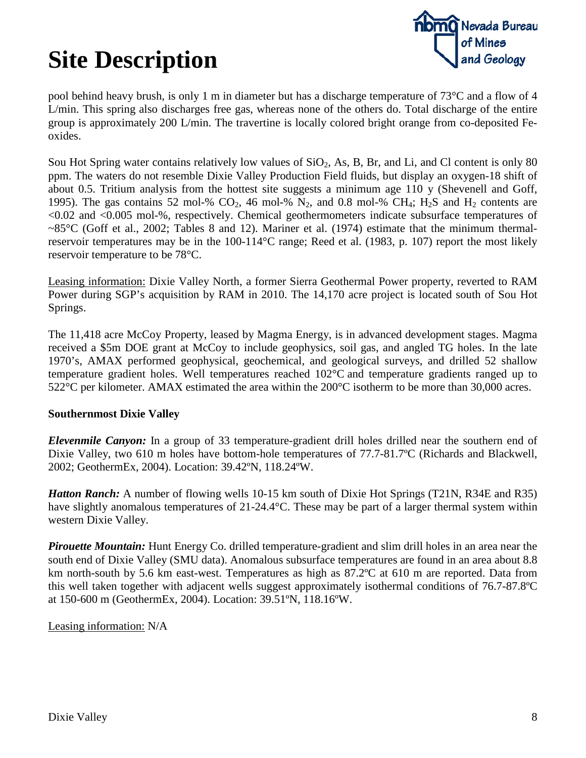

pool behind heavy brush, is only 1 m in diameter but has a discharge temperature of 73°C and a flow of 4 L/min. This spring also discharges free gas, whereas none of the others do. Total discharge of the entire group is approximately 200 L/min. The travertine is locally colored bright orange from co-deposited Feoxides.

Sou Hot Spring water contains relatively low values of  $SiO_2$ , As, B, Br, and Li, and Cl content is only 80 ppm. The waters do not resemble Dixie Valley Production Field fluids, but display an oxygen-18 shift of about 0.5. Tritium analysis from the hottest site suggests a minimum age 110 y (Shevenell and Goff, 1995). The gas contains 52 mol-%  $CO_2$ , 46 mol-%  $N_2$ , and 0.8 mol-%  $CH_4$ ;  $H_2S$  and  $H_2$  contents are <0.02 and <0.005 mol-%, respectively. Chemical geothermometers indicate subsurface temperatures of  $\sim 85^{\circ}$ C (Goff et al., 2002; Tables 8 and 12). Mariner et al. (1974) estimate that the minimum thermalreservoir temperatures may be in the 100-114°C range; Reed et al. (1983, p. 107) report the most likely reservoir temperature to be 78°C.

Leasing information: Dixie Valley North, a former Sierra Geothermal Power property, reverted to RAM Power during SGP's acquisition by RAM in 2010. The 14,170 acre project is located south of Sou Hot Springs.

The 11,418 acre McCoy Property, leased by Magma Energy, is in advanced development stages. Magma received a \$5m DOE grant at McCoy to include geophysics, soil gas, and angled TG holes. In the late 1970's, AMAX performed geophysical, geochemical, and geological surveys, and drilled 52 shallow temperature gradient holes. Well temperatures reached 102°C and temperature gradients ranged up to 522°C per kilometer. AMAX estimated the area within the 200°C isotherm to be more than 30,000 acres.

### **Southernmost Dixie Valley**

*Elevenmile Canyon:* In a group of 33 temperature-gradient drill holes drilled near the southern end of Dixie Valley, two 610 m holes have bottom-hole temperatures of 77.7-81.7ºC (Richards and Blackwell, 2002; GeothermEx, 2004). Location: 39.42ºN, 118.24ºW.

*Hatton Ranch:* A number of flowing wells 10-15 km south of Dixie Hot Springs (T21N, R34E and R35) have slightly anomalous temperatures of 21-24.4°C. These may be part of a larger thermal system within western Dixie Valley.

*Pirouette Mountain:* Hunt Energy Co. drilled temperature-gradient and slim drill holes in an area near the south end of Dixie Valley (SMU data). Anomalous subsurface temperatures are found in an area about 8.8 km north-south by 5.6 km east-west. Temperatures as high as 87.2ºC at 610 m are reported. Data from this well taken together with adjacent wells suggest approximately isothermal conditions of 76.7-87.8ºC at 150-600 m (GeothermEx, 2004). Location: 39.51ºN, 118.16ºW.

Leasing information: N/A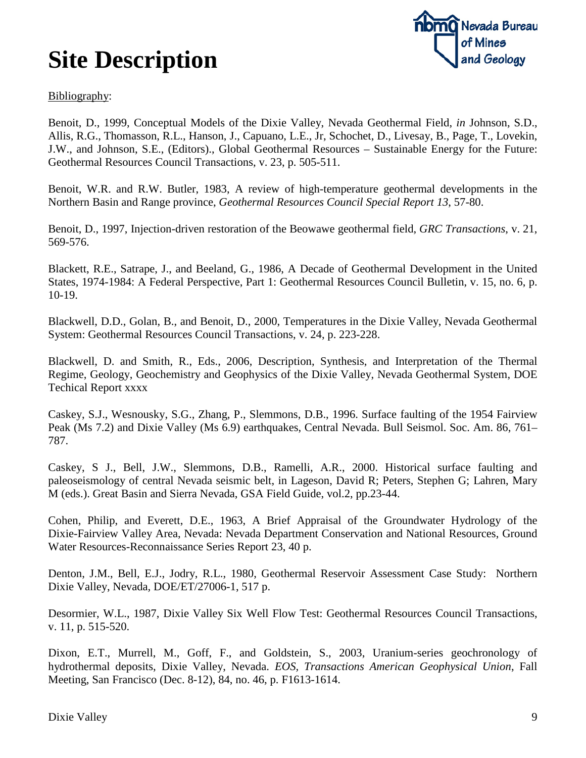

#### Bibliography:

Benoit, D., 1999, Conceptual Models of the Dixie Valley, Nevada Geothermal Field, *in* Johnson, S.D., Allis, R.G., Thomasson, R.L., Hanson, J., Capuano, L.E., Jr, Schochet, D., Livesay, B., Page, T., Lovekin, J.W., and Johnson, S.E., (Editors)., Global Geothermal Resources – Sustainable Energy for the Future: Geothermal Resources Council Transactions, v. 23, p. 505-511.

Benoit, W.R. and R.W. Butler, 1983, A review of high-temperature geothermal developments in the Northern Basin and Range province, *Geothermal Resources Council Special Report 13*, 57-80.

Benoit, D., 1997, Injection-driven restoration of the Beowawe geothermal field, *GRC Transactions*, v. 21, 569-576.

Blackett, R.E., Satrape, J., and Beeland, G., 1986, A Decade of Geothermal Development in the United States, 1974-1984: A Federal Perspective, Part 1: Geothermal Resources Council Bulletin, v. 15, no. 6, p. 10-19.

Blackwell, D.D., Golan, B., and Benoit, D., 2000, Temperatures in the Dixie Valley, Nevada Geothermal System: Geothermal Resources Council Transactions, v. 24, p. 223-228.

Blackwell, D. and Smith, R., Eds., 2006, Description, Synthesis, and Interpretation of the Thermal Regime, Geology, Geochemistry and Geophysics of the Dixie Valley, Nevada Geothermal System, DOE Techical Report xxxx

Caskey, S.J., Wesnousky, S.G., Zhang, P., Slemmons, D.B., 1996. Surface faulting of the 1954 Fairview Peak (Ms 7.2) and Dixie Valley (Ms 6.9) earthquakes, Central Nevada. Bull Seismol. Soc. Am. 86, 761– 787.

Caskey, S J., Bell, J.W., Slemmons, D.B., Ramelli, A.R., 2000. Historical surface faulting and paleoseismology of central Nevada seismic belt, in Lageson, David R; Peters, Stephen G; Lahren, Mary M (eds.). Great Basin and Sierra Nevada, GSA Field Guide, vol.2, pp.23-44.

Cohen, Philip, and Everett, D.E., 1963, A Brief Appraisal of the Groundwater Hydrology of the Dixie-Fairview Valley Area, Nevada: Nevada Department Conservation and National Resources, Ground Water Resources-Reconnaissance Series Report 23, 40 p.

Denton, J.M., Bell, E.J., Jodry, R.L., 1980, Geothermal Reservoir Assessment Case Study: Northern Dixie Valley, Nevada*,* DOE/ET/27006-1, 517 p.

Desormier, W.L., 1987, Dixie Valley Six Well Flow Test: Geothermal Resources Council Transactions, v. 11, p. 515-520.

Dixon, E.T., Murrell, M., Goff, F., and Goldstein, S., 2003, Uranium-series geochronology of hydrothermal deposits, Dixie Valley, Nevada. *EOS, Transactions American Geophysical Union*, Fall Meeting, San Francisco (Dec. 8-12), 84, no. 46, p. F1613-1614.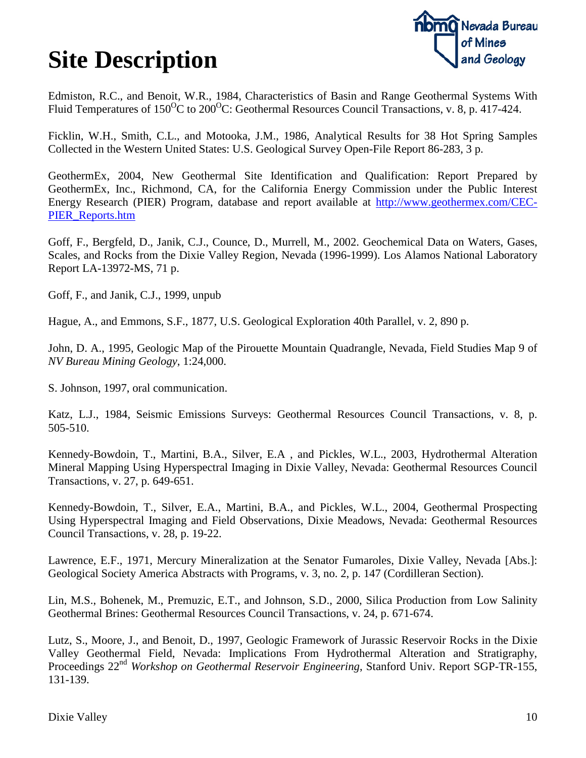

Edmiston, R.C., and Benoit, W.R., 1984, Characteristics of Basin and Range Geothermal Systems With Fluid Temperatures of  $150^{\circ}$ C to  $200^{\circ}$ C: Geothermal Resources Council Transactions, v. 8, p. 417-424.

Ficklin, W.H., Smith, C.L., and Motooka, J.M., 1986, Analytical Results for 38 Hot Spring Samples Collected in the Western United States: U.S. Geological Survey Open-File Report 86-283, 3 p.

GeothermEx, 2004, New Geothermal Site Identification and Qualification: Report Prepared by GeothermEx, Inc., Richmond, CA, for the California Energy Commission under the Public Interest Energy Research (PIER) Program, database and report available at [http://www.geothermex.com/CEC-](http://www.geothermex.com/CEC-PIER_Reports.htm)[PIER\\_Reports.htm](http://www.geothermex.com/CEC-PIER_Reports.htm)

Goff, F., Bergfeld, D., Janik, C.J., Counce, D., Murrell, M., 2002. Geochemical Data on Waters, Gases, Scales, and Rocks from the Dixie Valley Region, Nevada (1996-1999). Los Alamos National Laboratory Report LA-13972-MS, 71 p.

Goff, F., and Janik, C.J., 1999, unpub

Hague, A., and Emmons, S.F., 1877, U.S. Geological Exploration 40th Parallel, v. 2, 890 p.

John, D. A., 1995, Geologic Map of the Pirouette Mountain Quadrangle, Nevada, Field Studies Map 9 of *NV Bureau Mining Geology*, 1:24,000.

S. Johnson, 1997, oral communication.

Katz, L.J., 1984, Seismic Emissions Surveys: Geothermal Resources Council Transactions, v. 8, p. 505-510.

Kennedy-Bowdoin, T., Martini, B.A., Silver, E.A , and Pickles, W.L., 2003, Hydrothermal Alteration Mineral Mapping Using Hyperspectral Imaging in Dixie Valley, Nevada: Geothermal Resources Council Transactions, v. 27, p. 649-651.

Kennedy-Bowdoin, T., Silver, E.A., Martini, B.A., and Pickles, W.L., 2004, Geothermal Prospecting Using Hyperspectral Imaging and Field Observations, Dixie Meadows, Nevada: Geothermal Resources Council Transactions, v. 28, p. 19-22.

Lawrence, E.F., 1971, Mercury Mineralization at the Senator Fumaroles, Dixie Valley, Nevada [Abs.]: Geological Society America Abstracts with Programs, v. 3, no. 2, p. 147 (Cordilleran Section).

Lin, M.S., Bohenek, M., Premuzic, E.T., and Johnson, S.D., 2000, Silica Production from Low Salinity Geothermal Brines: Geothermal Resources Council Transactions, v. 24, p. 671-674.

Lutz, S., Moore, J., and Benoit, D., 1997, Geologic Framework of Jurassic Reservoir Rocks in the Dixie Valley Geothermal Field, Nevada: Implications From Hydrothermal Alteration and Stratigraphy, Proceedings 22nd *Workshop on Geothermal Reservoir Engineering*, Stanford Univ. Report SGP-TR-155, 131-139.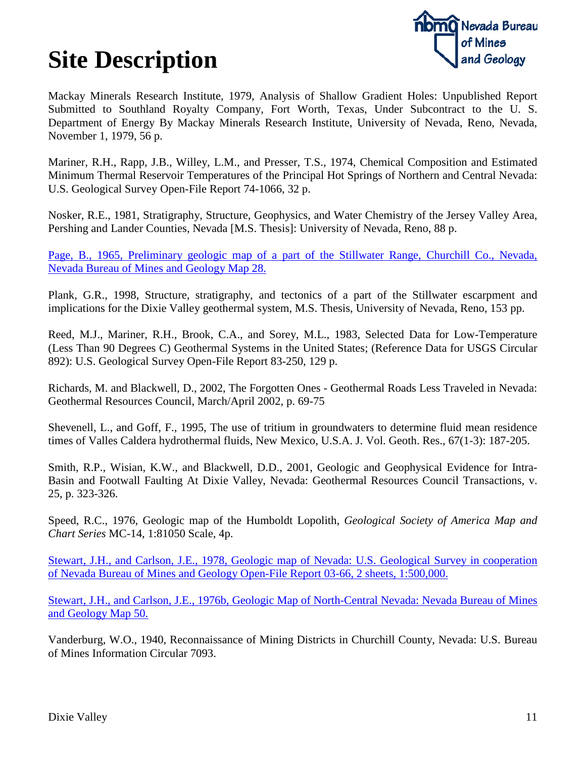

Mackay Minerals Research Institute, 1979, Analysis of Shallow Gradient Holes: Unpublished Report Submitted to Southland Royalty Company, Fort Worth, Texas, Under Subcontract to the U. S. Department of Energy By Mackay Minerals Research Institute, University of Nevada, Reno, Nevada, November 1, 1979, 56 p.

Mariner, R.H., Rapp, J.B., Willey, L.M., and Presser, T.S., 1974, Chemical Composition and Estimated Minimum Thermal Reservoir Temperatures of the Principal Hot Springs of Northern and Central Nevada: U.S. Geological Survey Open-File Report 74-1066, 32 p.

Nosker, R.E., 1981, Stratigraphy, Structure, Geophysics, and Water Chemistry of the Jersey Valley Area, Pershing and Lander Counties, Nevada [M.S. Thesis]: University of Nevada, Reno, 88 p.

[Page, B., 1965, Preliminary geologic map of a part of the Stillwater Range, Churchill Co., Nevada,](http://pubs.nbmg.unr.edu/Prel-geol-Stillwater-Range-p/m028.htm)  [Nevada Bureau of Mines and Geology](http://pubs.nbmg.unr.edu/Prel-geol-Stillwater-Range-p/m028.htm) Map 28.

Plank, G.R., 1998, Structure, stratigraphy, and tectonics of a part of the Stillwater escarpment and implications for the Dixie Valley geothermal system, M.S. Thesis, University of Nevada, Reno, 153 pp.

Reed, M.J., Mariner, R.H., Brook, C.A., and Sorey, M.L., 1983, Selected Data for Low-Temperature (Less Than 90 Degrees C) Geothermal Systems in the United States; (Reference Data for USGS Circular 892): U.S. Geological Survey Open-File Report 83-250, 129 p.

Richards, M. and Blackwell, D., 2002, The Forgotten Ones - Geothermal Roads Less Traveled in Nevada: Geothermal Resources Council, March/April 2002, p. 69-75

Shevenell, L., and Goff, F., 1995, The use of tritium in groundwaters to determine fluid mean residence times of Valles Caldera hydrothermal fluids, New Mexico, U.S.A. J. Vol. Geoth. Res., 67(1-3): 187-205.

Smith, R.P., Wisian, K.W., and Blackwell, D.D., 2001, Geologic and Geophysical Evidence for Intra-Basin and Footwall Faulting At Dixie Valley, Nevada: Geothermal Resources Council Transactions, v. 25, p. 323-326.

Speed, R.C., 1976, Geologic map of the Humboldt Lopolith, *Geological Society of America Map and Chart Series* MC-14, 1:81050 Scale, 4p.

[Stewart, J.H., and Carlson, J.E., 1978, Geologic map of Nevada: U.S. Geological Survey](http://pubs.nbmg.unr.edu/Geologic-map-of-Nevada-1978-p/00001.htm) in cooperation [of Nevada Bureau of Mines and Geology Open-File Report 03-66, 2 sheets,](http://pubs.nbmg.unr.edu/Geologic-map-of-Nevada-1978-p/00001.htm) 1:500,000.

[Stewart, J.H., and Carlson, J.E., 1976b, Geologic Map of North-Central Nevada: Nevada Bureau of Mines](http://pubs.nbmg.unr.edu/Geologic-map-north-central-NV-p/m050.htm)  [and Geology Map 50.](http://pubs.nbmg.unr.edu/Geologic-map-north-central-NV-p/m050.htm)

Vanderburg, W.O., 1940, Reconnaissance of Mining Districts in Churchill County, Nevada: U.S. Bureau of Mines Information Circular 7093.